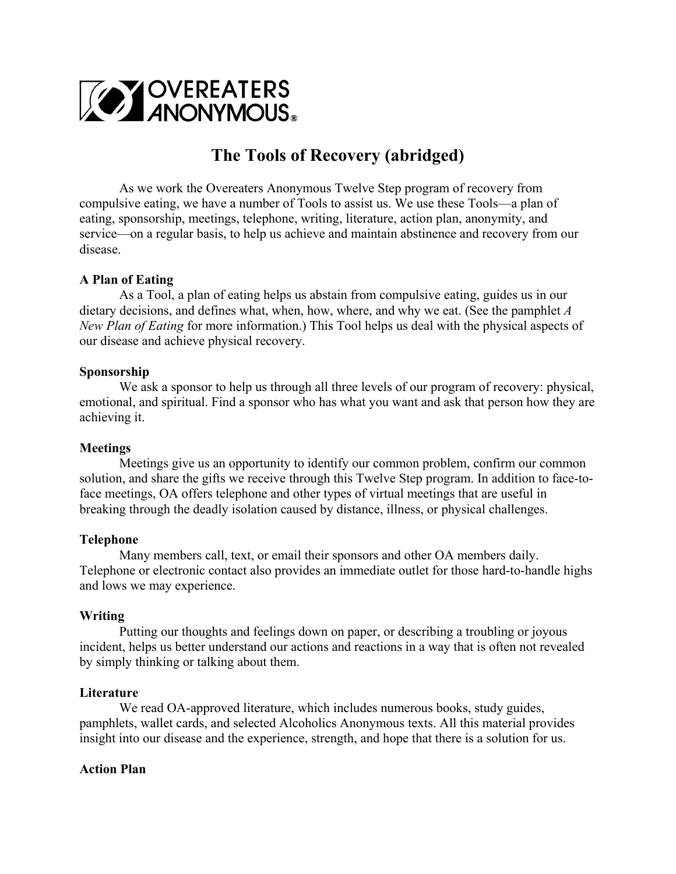

# **The Tools of Recovery (abridged)**

As we work the Overeaters Anonymous Twelve Step program of recovery from compulsive eating, we have a number of Tools to assist us. We use these Tools—a plan of eating, sponsorship, meetings, telephone, writing, literature, action plan, anonymity, and service—on a regular basis, to help us achieve and maintain abstinence and recovery from our disease.

## **A Plan of Eating**

As a Tool, a plan of eating helps us abstain from compulsive eating, guides us in our dietary decisions, and defines what, when, how, where, and why we eat. (See the pamphlet *A New Plan of Eating* for more information.) This Tool helps us deal with the physical aspects of our disease and achieve physical recovery.

## **Sponsorship**

We ask a sponsor to help us through all three levels of our program of recovery: physical, emotional, and spiritual. Find a sponsor who has what you want and ask that person how they are achieving it.

## **Meetings**

Meetings give us an opportunity to identify our common problem, confirm our common solution, and share the gifts we receive through this Twelve Step program. In addition to face-toface meetings, OA offers telephone and other types of virtual meetings that are useful in breaking through the deadly isolation caused by distance, illness, or physical challenges.

## **Telephone**

Many members call, text, or email their sponsors and other OA members daily. Telephone or electronic contact also provides an immediate outlet for those hard-to-handle highs and lows we may experience.

# **Writing**

Putting our thoughts and feelings down on paper, or describing a troubling or joyous incident, helps us better understand our actions and reactions in a way that is often not revealed by simply thinking or talking about them.

## **Literature**

We read OA-approved literature, which includes numerous books, study guides, pamphlets, wallet cards, and selected Alcoholics Anonymous texts. All this material provides insight into our disease and the experience, strength, and hope that there is a solution for us.

## **Action Plan**